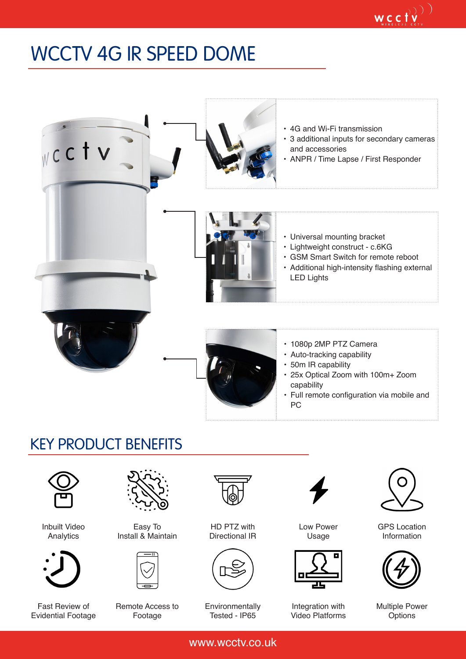## WCCTV 4G IR SPEED DOME



## KEY PRODUCT BENEFITS



Inbuilt Video Analytics



Fast Review of Evidential Footage



Easy To Install & Maintain



Remote Access to Footage



HD PTZ with Directional IR



Environmentally Tested - IP65



Low Power Usage



Integration with Video Platforms



 $\mathop{\mathsf{wc}}\limits_{\mathop{\mathsf{cyc}}\limits_{\mathop{\mathsf{cyc}}\limits^{\mathop{\mathsf{cyc}}} \mathop{\mathsf{cyc}}} \mathop{\mathsf{f/v}}\limits^{\mathop{\mathsf{cyc}}}$ 

GPS Location Information



Multiple Power **Options** 

www.wcctv.co.uk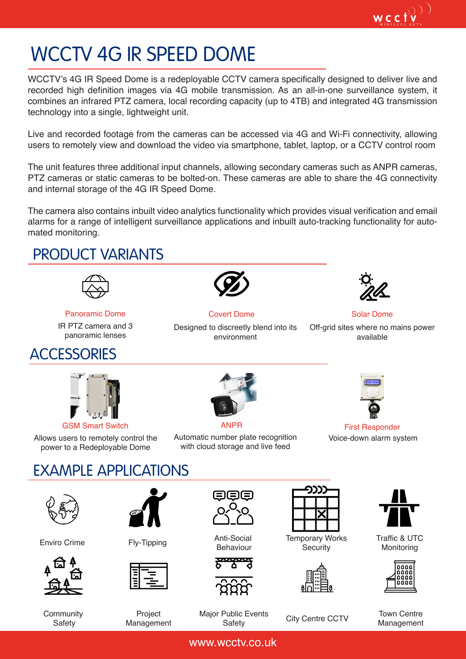$wc_{\text{vertex}}(t,v^{(1)}_{\text{vertex}})$ 

# WCCTV 4G IR SPEED DOME

WCCTV's 4G IR Speed Dome is a redeployable CCTV camera specifically designed to deliver live and recorded high definition images via 4G mobile transmission. As an all-in-one surveillance system, it combines an infrared PTZ camera, local recording capacity (up to 4TB) and integrated 4G transmission technology into a single, lightweight unit.

Live and recorded footage from the cameras can be accessed via 4G and Wi-Fi connectivity, allowing users to remotely view and download the video via smartphone, tablet, laptop, or a CCTV control room

The unit features three additional input channels, allowing secondary cameras such as ANPR cameras, PTZ cameras or static cameras to be bolted-on. These cameras are able to share the 4G connectivity and internal storage of the 4G IR Speed Dome.

The camera also contains inbuilt video analytics functionality which provides visual verification and email alarms for a range of intelligent surveillance applications and inbuilt auto-tracking functionality for automated monitoring.

#### PRODUCT VARIANTS



Panoramic Dome Covert Dome Covert Dome Solar Dome

IR PTZ camera and 3 panoramic lenses

## **ACCESSORIES**

**Community Safety** 



Designed to discreetly blend into its environment



Off-grid sites where no mains power available



Allows users to remotely control the power to a Redeployable Dome



Automatic number plate recognition

GSM Smart Switch **ANPR** ANPR First Responder Voice-down alarm system

#### EXAMPLE APPLICATIONS with cloud storage and live feed









Temporary Works **Security** 







Traffic & UTC Monitoring



Management

Project Management

Major Public Events

www.wcctv.co.uk

Safety City Centre CCTV Town Centre